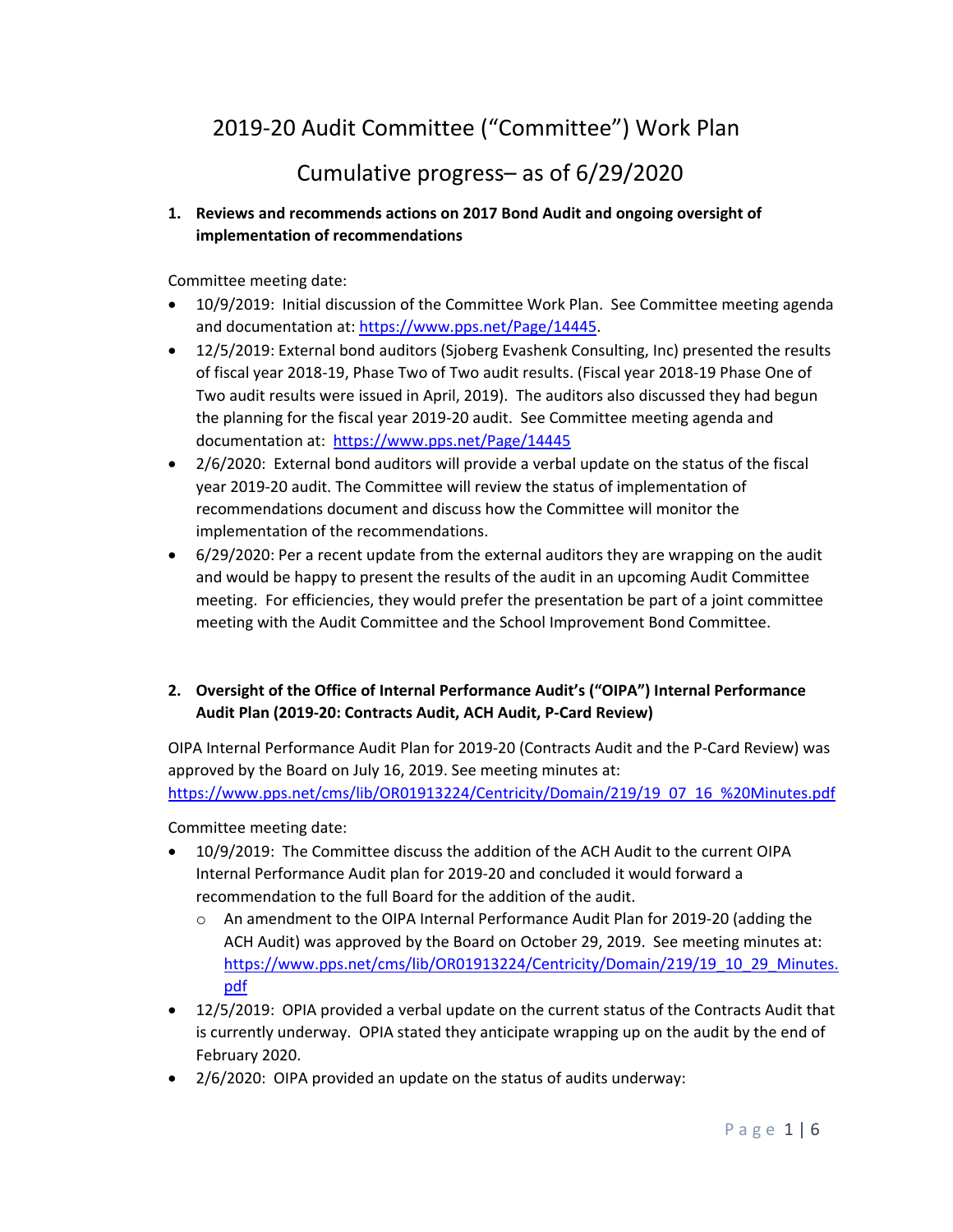# 2019‐20 Audit Committee ("Committee") Work Plan

## Cumulative progress– as of 6/29/2020

## **1. Reviews and recommends actions on 2017 Bond Audit and ongoing oversight of implementation of recommendations**

Committee meeting date:

- 10/9/2019: Initial discussion of the Committee Work Plan. See Committee meeting agenda and documentation at: https://www.pps.net/Page/14445.
- 12/5/2019: External bond auditors (Sjoberg Evashenk Consulting, Inc) presented the results of fiscal year 2018‐19, Phase Two of Two audit results. (Fiscal year 2018‐19 Phase One of Two audit results were issued in April, 2019). The auditors also discussed they had begun the planning for the fiscal year 2019‐20 audit. See Committee meeting agenda and documentation at: https://www.pps.net/Page/14445
- 2/6/2020: External bond auditors will provide a verbal update on the status of the fiscal year 2019‐20 audit. The Committee will review the status of implementation of recommendations document and discuss how the Committee will monitor the implementation of the recommendations.
- 6/29/2020: Per a recent update from the external auditors they are wrapping on the audit and would be happy to present the results of the audit in an upcoming Audit Committee meeting. For efficiencies, they would prefer the presentation be part of a joint committee meeting with the Audit Committee and the School Improvement Bond Committee.

## **2. Oversight of the Office of Internal Performance Audit's ("OIPA") Internal Performance Audit Plan (2019‐20: Contracts Audit, ACH Audit, P‐Card Review)**

OIPA Internal Performance Audit Plan for 2019‐20 (Contracts Audit and the P‐Card Review) was approved by the Board on July 16, 2019. See meeting minutes at: https://www.pps.net/cms/lib/OR01913224/Centricity/Domain/219/19\_07\_16\_%20Minutes.pdf

Committee meeting date:

- 10/9/2019: The Committee discuss the addition of the ACH Audit to the current OIPA Internal Performance Audit plan for 2019‐20 and concluded it would forward a recommendation to the full Board for the addition of the audit.
	- o An amendment to the OIPA Internal Performance Audit Plan for 2019‐20 (adding the ACH Audit) was approved by the Board on October 29, 2019. See meeting minutes at: https://www.pps.net/cms/lib/OR01913224/Centricity/Domain/219/19\_10\_29\_Minutes. pdf
- 12/5/2019: OPIA provided a verbal update on the current status of the Contracts Audit that is currently underway. OPIA stated they anticipate wrapping up on the audit by the end of February 2020.
- 2/6/2020: OIPA provided an update on the status of audits underway: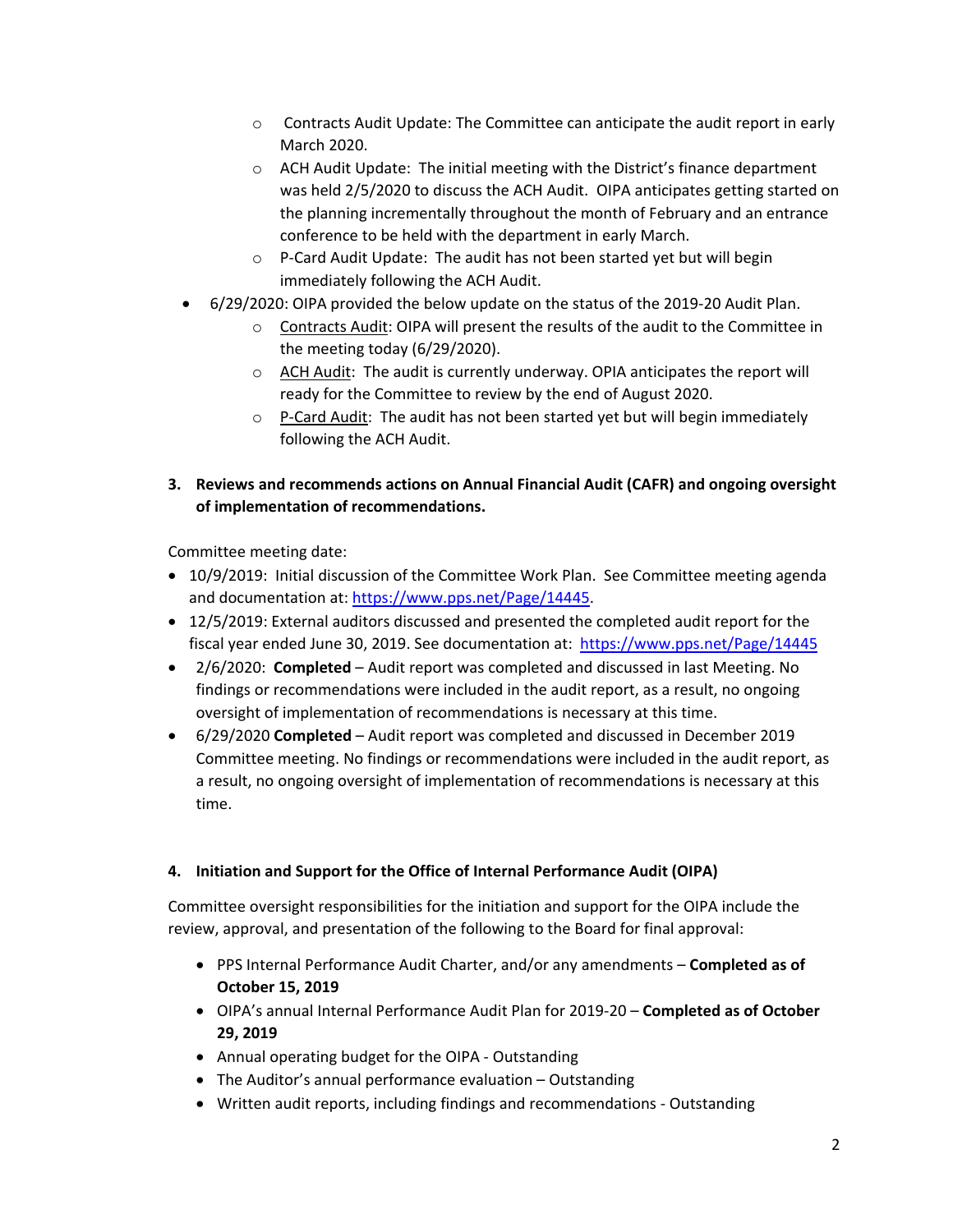- o Contracts Audit Update: The Committee can anticipate the audit report in early March 2020.
- o ACH Audit Update: The initial meeting with the District's finance department was held 2/5/2020 to discuss the ACH Audit. OIPA anticipates getting started on the planning incrementally throughout the month of February and an entrance conference to be held with the department in early March.
- o P‐Card Audit Update: The audit has not been started yet but will begin immediately following the ACH Audit.
- 6/29/2020: OIPA provided the below update on the status of the 2019‐20 Audit Plan.
	- o Contracts Audit: OIPA will present the results of the audit to the Committee in the meeting today (6/29/2020).
	- o ACH Audit: The audit is currently underway. OPIA anticipates the report will ready for the Committee to review by the end of August 2020.
	- $\circ$  P-Card Audit: The audit has not been started yet but will begin immediately following the ACH Audit.
- **3. Reviews and recommends actions on Annual Financial Audit (CAFR) and ongoing oversight of implementation of recommendations.**

Committee meeting date:

- 10/9/2019: Initial discussion of the Committee Work Plan. See Committee meeting agenda and documentation at: https://www.pps.net/Page/14445.
- 12/5/2019: External auditors discussed and presented the completed audit report for the fiscal year ended June 30, 2019. See documentation at: https://www.pps.net/Page/14445
- 2/6/2020: **Completed** Audit report was completed and discussed in last Meeting. No findings or recommendations were included in the audit report, as a result, no ongoing oversight of implementation of recommendations is necessary at this time.
- 6/29/2020 **Completed** Audit report was completed and discussed in December 2019 Committee meeting. No findings or recommendations were included in the audit report, as a result, no ongoing oversight of implementation of recommendations is necessary at this time.

#### **4. Initiation and Support for the Office of Internal Performance Audit (OIPA)**

Committee oversight responsibilities for the initiation and support for the OIPA include the review, approval, and presentation of the following to the Board for final approval:

- PPS Internal Performance Audit Charter, and/or any amendments **Completed as of October 15, 2019**
- OIPA's annual Internal Performance Audit Plan for 2019‐20 **Completed as of October 29, 2019**
- Annual operating budget for the OIPA ‐ Outstanding
- The Auditor's annual performance evaluation Outstanding
- Written audit reports, including findings and recommendations ‐ Outstanding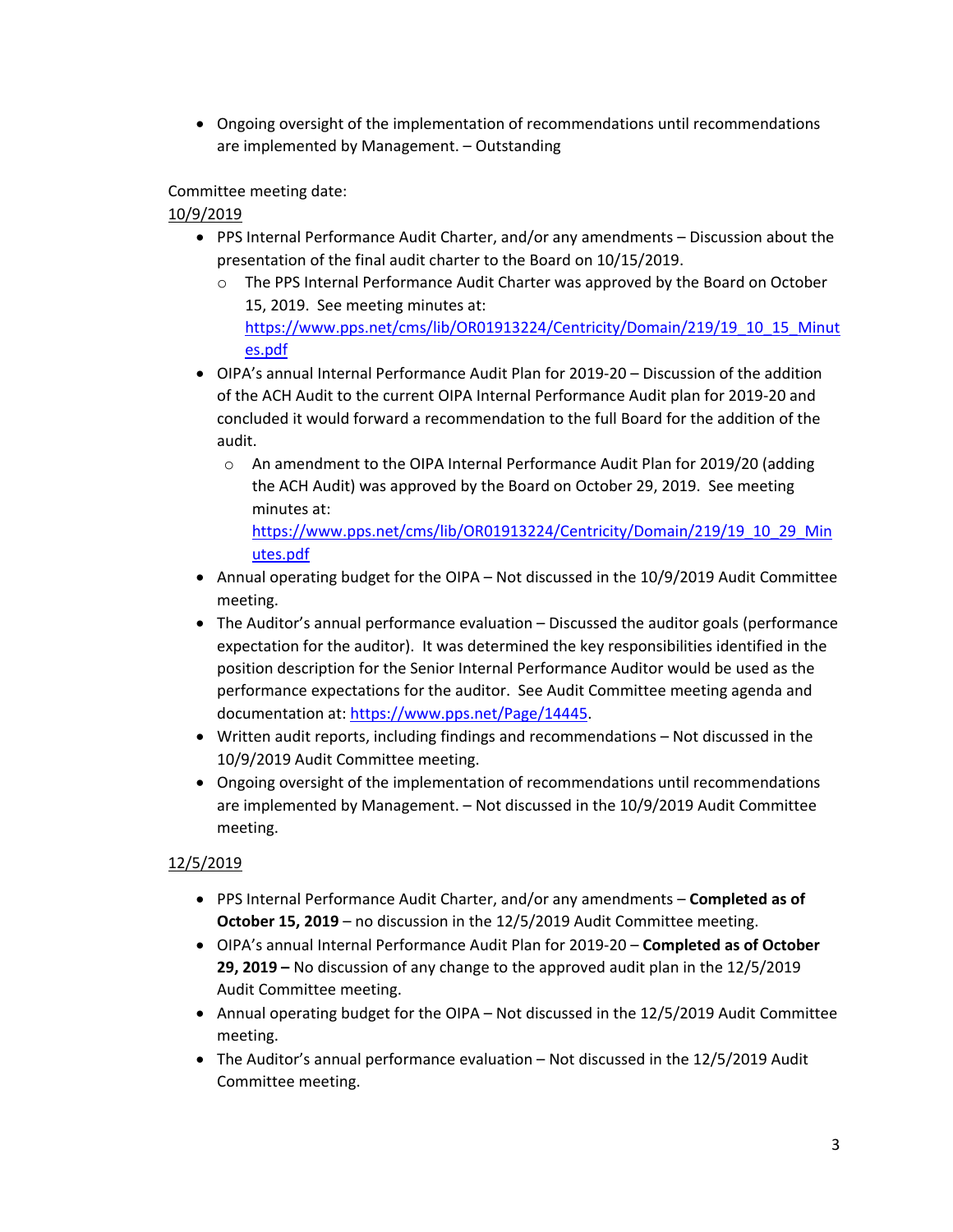Ongoing oversight of the implementation of recommendations until recommendations are implemented by Management. – Outstanding

Committee meeting date:

10/9/2019

- PPS Internal Performance Audit Charter, and/or any amendments Discussion about the presentation of the final audit charter to the Board on 10/15/2019.
	- o The PPS Internal Performance Audit Charter was approved by the Board on October 15, 2019. See meeting minutes at: https://www.pps.net/cms/lib/OR01913224/Centricity/Domain/219/19\_10\_15\_Minut es.pdf
- OIPA's annual Internal Performance Audit Plan for 2019‐20 Discussion of the addition of the ACH Audit to the current OIPA Internal Performance Audit plan for 2019‐20 and concluded it would forward a recommendation to the full Board for the addition of the audit.
	- o An amendment to the OIPA Internal Performance Audit Plan for 2019/20 (adding the ACH Audit) was approved by the Board on October 29, 2019. See meeting minutes at:

https://www.pps.net/cms/lib/OR01913224/Centricity/Domain/219/19\_10\_29\_Min utes.pdf

- Annual operating budget for the OIPA Not discussed in the 10/9/2019 Audit Committee meeting.
- The Auditor's annual performance evaluation Discussed the auditor goals (performance expectation for the auditor). It was determined the key responsibilities identified in the position description for the Senior Internal Performance Auditor would be used as the performance expectations for the auditor. See Audit Committee meeting agenda and documentation at: https://www.pps.net/Page/14445.
- Written audit reports, including findings and recommendations Not discussed in the 10/9/2019 Audit Committee meeting.
- Ongoing oversight of the implementation of recommendations until recommendations are implemented by Management. – Not discussed in the 10/9/2019 Audit Committee meeting.

## 12/5/2019

- PPS Internal Performance Audit Charter, and/or any amendments **Completed as of October 15, 2019** – no discussion in the 12/5/2019 Audit Committee meeting.
- OIPA's annual Internal Performance Audit Plan for 2019‐20 **Completed as of October 29, 2019 –** No discussion of any change to the approved audit plan in the 12/5/2019 Audit Committee meeting.
- Annual operating budget for the OIPA Not discussed in the 12/5/2019 Audit Committee meeting.
- The Auditor's annual performance evaluation Not discussed in the 12/5/2019 Audit Committee meeting.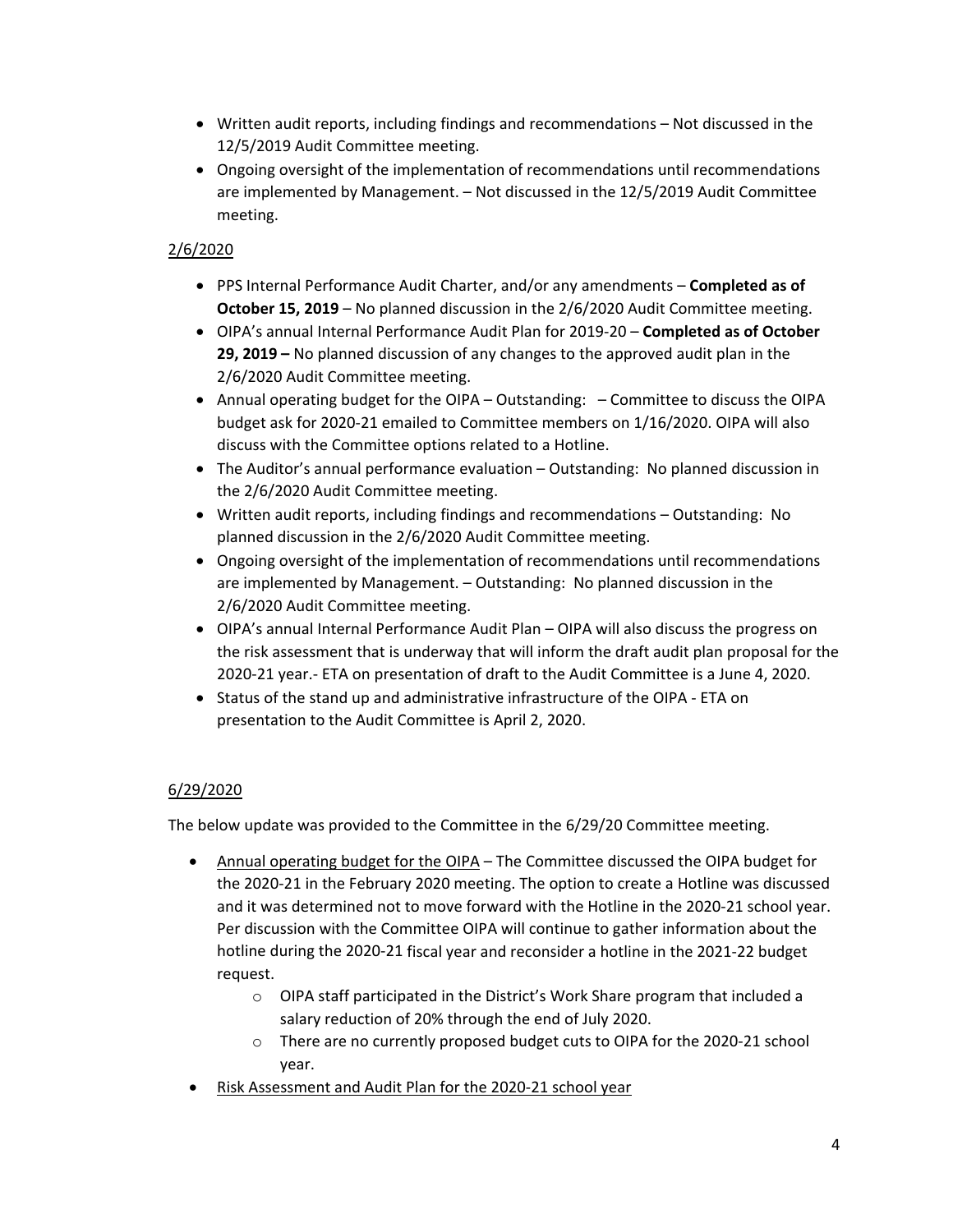- Written audit reports, including findings and recommendations Not discussed in the 12/5/2019 Audit Committee meeting.
- Ongoing oversight of the implementation of recommendations until recommendations are implemented by Management. – Not discussed in the 12/5/2019 Audit Committee meeting.

#### 2/6/2020

- PPS Internal Performance Audit Charter, and/or any amendments **Completed as of October 15, 2019** – No planned discussion in the 2/6/2020 Audit Committee meeting.
- OIPA's annual Internal Performance Audit Plan for 2019‐20 **Completed as of October 29, 2019 –** No planned discussion of any changes to the approved audit plan in the 2/6/2020 Audit Committee meeting.
- Annual operating budget for the OIPA Outstanding: – Committee to discuss the OIPA budget ask for 2020‐21 emailed to Committee members on 1/16/2020. OIPA will also discuss with the Committee options related to a Hotline.
- The Auditor's annual performance evaluation Outstanding: No planned discussion in the 2/6/2020 Audit Committee meeting.
- Written audit reports, including findings and recommendations Outstanding: No planned discussion in the 2/6/2020 Audit Committee meeting.
- Ongoing oversight of the implementation of recommendations until recommendations are implemented by Management. – Outstanding: No planned discussion in the 2/6/2020 Audit Committee meeting.
- OIPA's annual Internal Performance Audit Plan OIPA will also discuss the progress on the risk assessment that is underway that will inform the draft audit plan proposal for the 2020‐21 year.‐ ETA on presentation of draft to the Audit Committee is a June 4, 2020.
- Status of the stand up and administrative infrastructure of the OIPA ETA on presentation to the Audit Committee is April 2, 2020.

## 6/29/2020

The below update was provided to the Committee in the 6/29/20 Committee meeting.

- Annual operating budget for the OIPA The Committee discussed the OIPA budget for the 2020‐21 in the February 2020 meeting. The option to create a Hotline was discussed and it was determined not to move forward with the Hotline in the 2020‐21 school year. Per discussion with the Committee OIPA will continue to gather information about the hotline during the 2020‐21 fiscal year and reconsider a hotline in the 2021‐22 budget request.
	- o OIPA staff participated in the District's Work Share program that included a salary reduction of 20% through the end of July 2020.
	- o There are no currently proposed budget cuts to OIPA for the 2020‐21 school year.
- Risk Assessment and Audit Plan for the 2020‐21 school year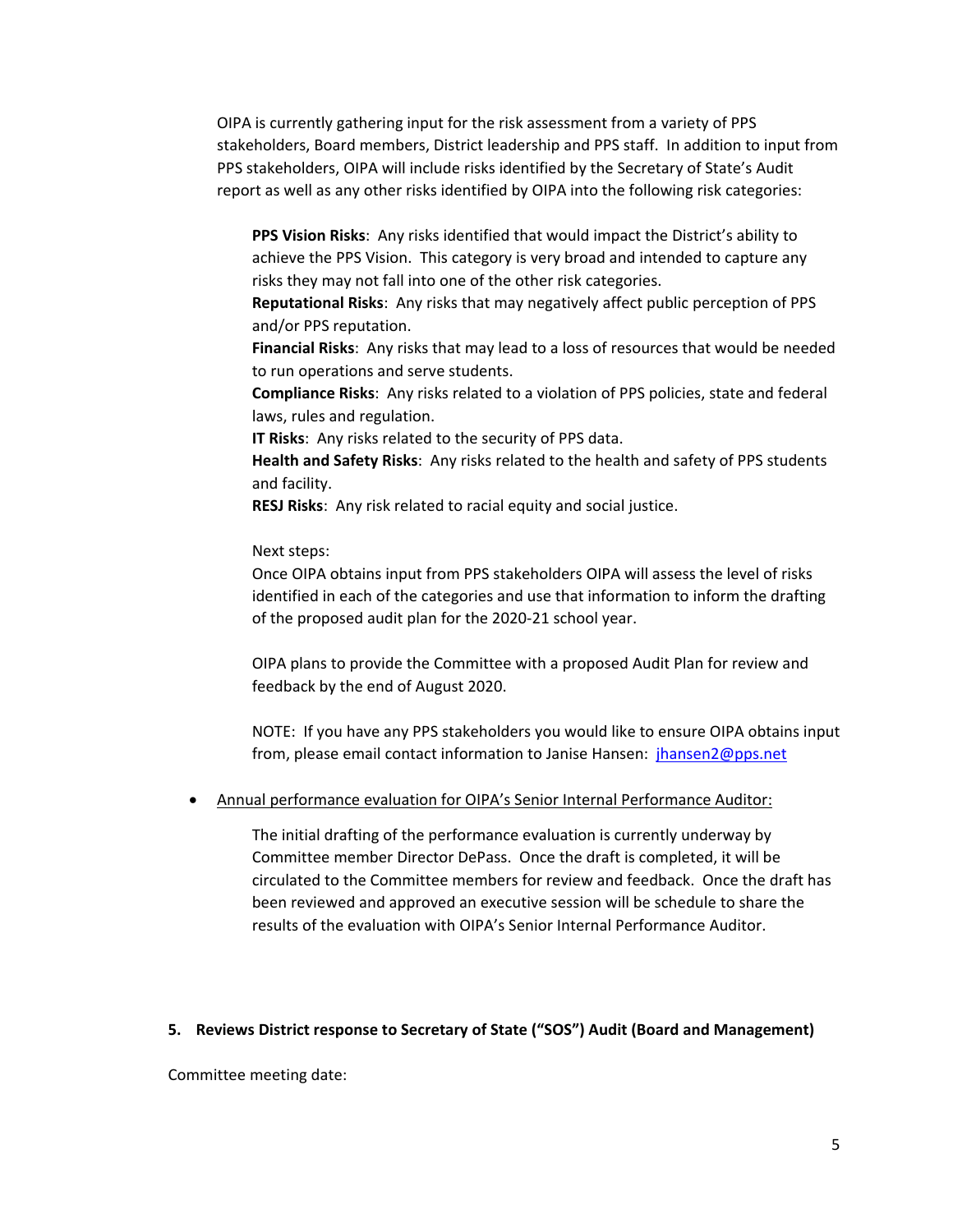OIPA is currently gathering input for the risk assessment from a variety of PPS stakeholders, Board members, District leadership and PPS staff. In addition to input from PPS stakeholders, OIPA will include risks identified by the Secretary of State's Audit report as well as any other risks identified by OIPA into the following risk categories:

**PPS Vision Risks**: Any risks identified that would impact the District's ability to achieve the PPS Vision. This category is very broad and intended to capture any risks they may not fall into one of the other risk categories.

**Reputational Risks**: Any risks that may negatively affect public perception of PPS and/or PPS reputation.

**Financial Risks**: Any risks that may lead to a loss of resources that would be needed to run operations and serve students.

**Compliance Risks**: Any risks related to a violation of PPS policies, state and federal laws, rules and regulation.

**IT Risks**: Any risks related to the security of PPS data.

**Health and Safety Risks**: Any risks related to the health and safety of PPS students and facility.

**RESJ Risks**: Any risk related to racial equity and social justice.

#### Next steps:

Once OIPA obtains input from PPS stakeholders OIPA will assess the level of risks identified in each of the categories and use that information to inform the drafting of the proposed audit plan for the 2020‐21 school year.

OIPA plans to provide the Committee with a proposed Audit Plan for review and feedback by the end of August 2020.

NOTE: If you have any PPS stakeholders you would like to ensure OIPA obtains input from, please email contact information to Janise Hansen: jhansen2@pps.net

Annual performance evaluation for OIPA's Senior Internal Performance Auditor:

The initial drafting of the performance evaluation is currently underway by Committee member Director DePass. Once the draft is completed, it will be circulated to the Committee members for review and feedback. Once the draft has been reviewed and approved an executive session will be schedule to share the results of the evaluation with OIPA's Senior Internal Performance Auditor.

#### **5. Reviews District response to Secretary of State ("SOS") Audit (Board and Management)**

Committee meeting date: